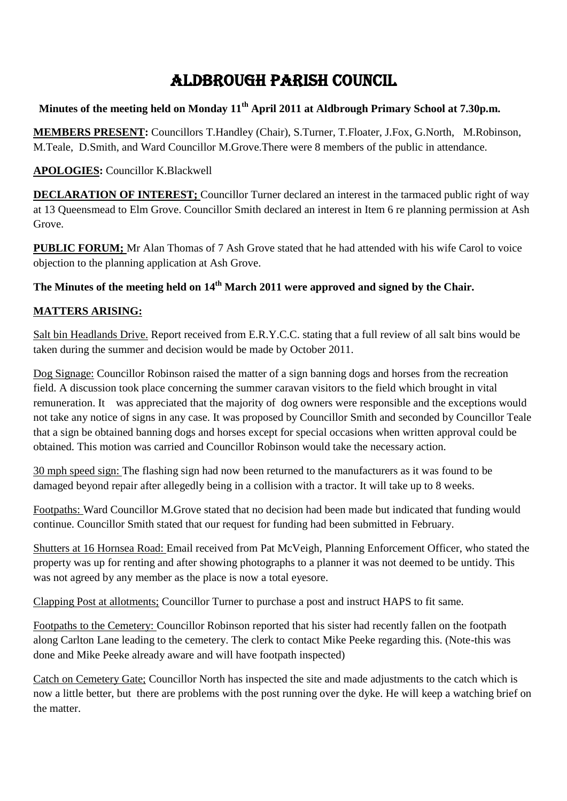# **ALDBROUGH PARISH COUNCIL**

## **Minutes of the meeting held on Monday 11th April 2011 at Aldbrough Primary School at 7.30p.m.**

**MEMBERS PRESENT:** Councillors T.Handley (Chair), S.Turner, T.Floater, J.Fox, G.North, M.Robinson, M.Teale, D.Smith, and Ward Councillor M.Grove.There were 8 members of the public in attendance.

#### **APOLOGIES:** Councillor K.Blackwell

**DECLARATION OF INTEREST;** Councillor Turner declared an interest in the tarmaced public right of way at 13 Queensmead to Elm Grove. Councillor Smith declared an interest in Item 6 re planning permission at Ash Grove.

**PUBLIC FORUM;** Mr Alan Thomas of 7 Ash Grove stated that he had attended with his wife Carol to voice objection to the planning application at Ash Grove.

# **The Minutes of the meeting held on 14th March 2011 were approved and signed by the Chair.**

#### **MATTERS ARISING:**

Salt bin Headlands Drive. Report received from E.R.Y.C.C. stating that a full review of all salt bins would be taken during the summer and decision would be made by October 2011.

Dog Signage: Councillor Robinson raised the matter of a sign banning dogs and horses from the recreation field. A discussion took place concerning the summer caravan visitors to the field which brought in vital remuneration. It was appreciated that the majority of dog owners were responsible and the exceptions would not take any notice of signs in any case. It was proposed by Councillor Smith and seconded by Councillor Teale that a sign be obtained banning dogs and horses except for special occasions when written approval could be obtained. This motion was carried and Councillor Robinson would take the necessary action.

30 mph speed sign: The flashing sign had now been returned to the manufacturers as it was found to be damaged beyond repair after allegedly being in a collision with a tractor. It will take up to 8 weeks.

Footpaths: Ward Councillor M.Grove stated that no decision had been made but indicated that funding would continue. Councillor Smith stated that our request for funding had been submitted in February.

Shutters at 16 Hornsea Road: Email received from Pat McVeigh, Planning Enforcement Officer, who stated the property was up for renting and after showing photographs to a planner it was not deemed to be untidy. This was not agreed by any member as the place is now a total eyesore.

Clapping Post at allotments; Councillor Turner to purchase a post and instruct HAPS to fit same.

Footpaths to the Cemetery: Councillor Robinson reported that his sister had recently fallen on the footpath along Carlton Lane leading to the cemetery. The clerk to contact Mike Peeke regarding this. (Note-this was done and Mike Peeke already aware and will have footpath inspected)

Catch on Cemetery Gate; Councillor North has inspected the site and made adjustments to the catch which is now a little better, but there are problems with the post running over the dyke. He will keep a watching brief on the matter.